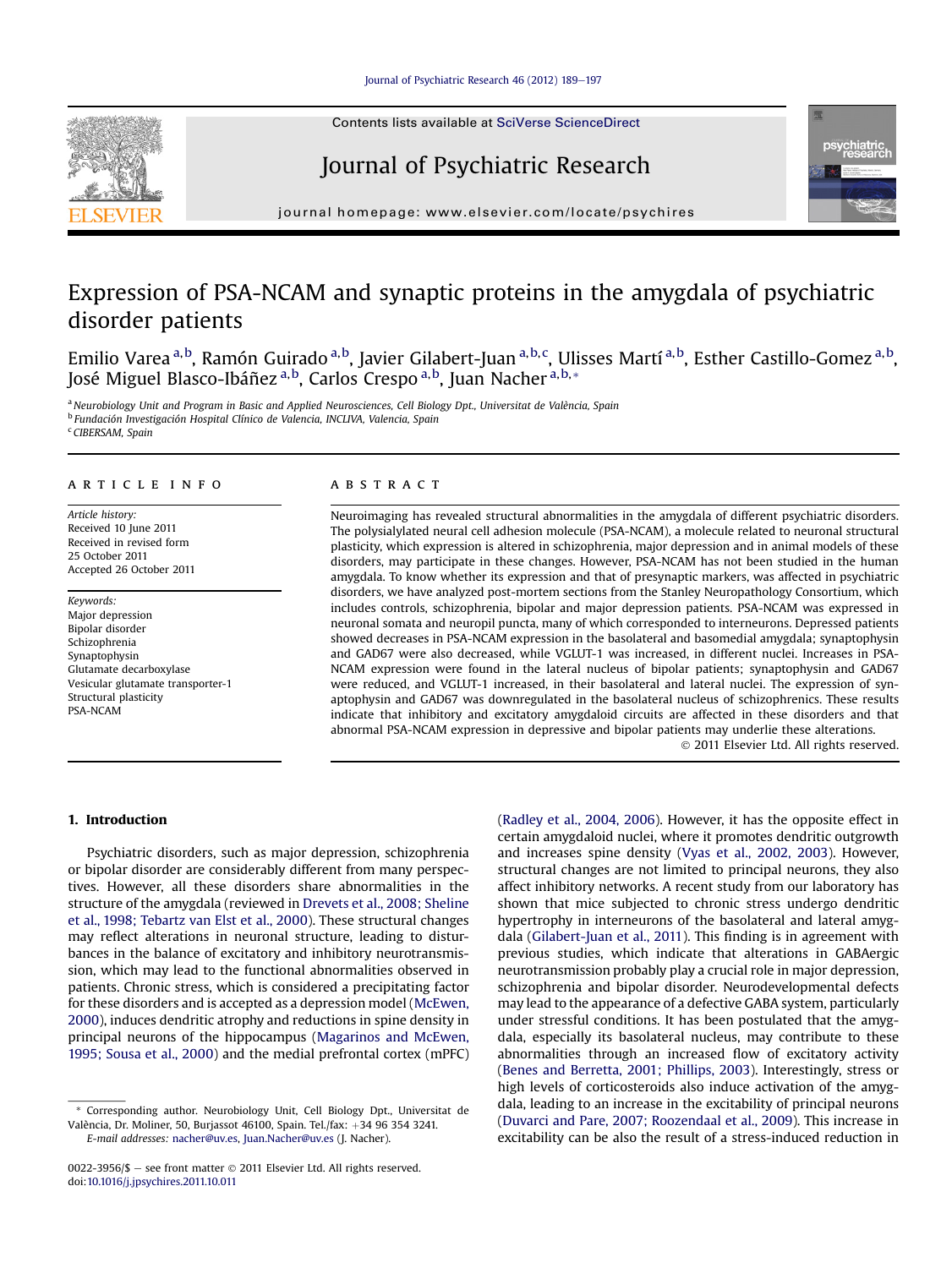Contents lists available at SciVerse ScienceDirect

# Journal of Psychiatric Research



 $j<sub>i</sub>$  is a homepage: where  $i<sub>i</sub>$  is a company company

# Expression of PSA-NCAM and synaptic proteins in the amygdala of psychiatric disorder patients

Emilio Varea <sup>a,b</sup>, Ramón Guirado <sup>a,b</sup>, Javier Gilabert-Juan <sup>a,b,c</sup>, Ulisses Martí <sup>a,b</sup>, Esther Castillo-Gomez <sup>a,b</sup>, José Miguel Blasco-Ibáñez <sup>a, b</sup>, Carlos Crespo <sup>a, b</sup>, Juan Nacher <sup>a, b, </sup>\*

a Neurobiology Unit and Program in Basic and Applied Neurosciences, Cell Biology Dpt., Universitat de València, Spain <sup>b</sup> Fundación Investigación Hospital Clínico de Valencia, INCLIVA, Valencia, Spain <sup>c</sup> CIBERSAM, Spain

### article info

Article history: Received 10 June 2011 Received in revised form 25 October 2011 Accepted 26 October 2011

Keywords: Major depression Bipolar disorder Schizophrenia Synaptophysin Glutamate decarboxylase Vesicular glutamate transporter-1 Structural plasticity PSA-NCAM

## ABSTRACT

Neuroimaging has revealed structural abnormalities in the amygdala of different psychiatric disorders. The polysialylated neural cell adhesion molecule (PSA-NCAM), a molecule related to neuronal structural plasticity, which expression is altered in schizophrenia, major depression and in animal models of these disorders, may participate in these changes. However, PSA-NCAM has not been studied in the human amygdala. To know whether its expression and that of presynaptic markers, was affected in psychiatric disorders, we have analyzed post-mortem sections from the Stanley Neuropathology Consortium, which includes controls, schizophrenia, bipolar and major depression patients. PSA-NCAM was expressed in neuronal somata and neuropil puncta, many of which corresponded to interneurons. Depressed patients showed decreases in PSA-NCAM expression in the basolateral and basomedial amygdala; synaptophysin and GAD67 were also decreased, while VGLUT-1 was increased, in different nuclei. Increases in PSA-NCAM expression were found in the lateral nucleus of bipolar patients; synaptophysin and GAD67 were reduced, and VGLUT-1 increased, in their basolateral and lateral nuclei. The expression of synaptophysin and GAD67 was downregulated in the basolateral nucleus of schizophrenics. These results indicate that inhibitory and excitatory amygdaloid circuits are affected in these disorders and that abnormal PSA-NCAM expression in depressive and bipolar patients may underlie these alterations.

2011 Elsevier Ltd. All rights reserved.

## 1. Introduction

Psychiatric disorders, such as major depression, schizophrenia or bipolar disorder are considerably different from many perspectives. However, all these disorders share abnormalities in the structure of the amygdala (reviewed in Drevets et al., 2008; Sheline et al., 1998; Tebartz van Elst et al., 2000). These structural changes may reflect alterations in neuronal structure, leading to disturbances in the balance of excitatory and inhibitory neurotransmission, which may lead to the functional abnormalities observed in patients. Chronic stress, which is considered a precipitating factor for these disorders and is accepted as a depression model (McEwen, 2000), induces dendritic atrophy and reductions in spine density in principal neurons of the hippocampus (Magarinos and McEwen, 1995; Sousa et al., 2000) and the medial prefrontal cortex (mPFC) (Radley et al., 2004, 2006). However, it has the opposite effect in certain amygdaloid nuclei, where it promotes dendritic outgrowth and increases spine density (Vyas et al., 2002, 2003). However, structural changes are not limited to principal neurons, they also affect inhibitory networks. A recent study from our laboratory has shown that mice subjected to chronic stress undergo dendritic hypertrophy in interneurons of the basolateral and lateral amygdala (Gilabert-Juan et al., 2011). This finding is in agreement with previous studies, which indicate that alterations in GABAergic neurotransmission probably play a crucial role in major depression, schizophrenia and bipolar disorder. Neurodevelopmental defects may lead to the appearance of a defective GABA system, particularly under stressful conditions. It has been postulated that the amygdala, especially its basolateral nucleus, may contribute to these abnormalities through an increased flow of excitatory activity (Benes and Berretta, 2001; Phillips, 2003). Interestingly, stress or high levels of corticosteroids also induce activation of the amygdala, leading to an increase in the excitability of principal neurons (Duvarci and Pare, 2007; Roozendaal et al., 2009). This increase in excitability can be also the result of a stress-induced reduction in



Corresponding author. Neurobiology Unit, Cell Biology Dpt., Universitat de València, Dr. Moliner, 50, Burjassot 46100, Spain. Tel./fax: +34 96 354 3241. E-mail addresses: [nacher@uv.es,](mailto:nacher@uv.es) [Juan.Nacher@uv.es](mailto:Juan.Nacher@uv.es) (J. Nacher).

<sup>0022-3956/\$ -</sup> see front matter  $\odot$  2011 Elsevier Ltd. All rights reserved. doi[:10.1016/j.jpsychires.2011.10.011](http://dx.doi.org/10.1016/j.jpsychires.2011.10.011)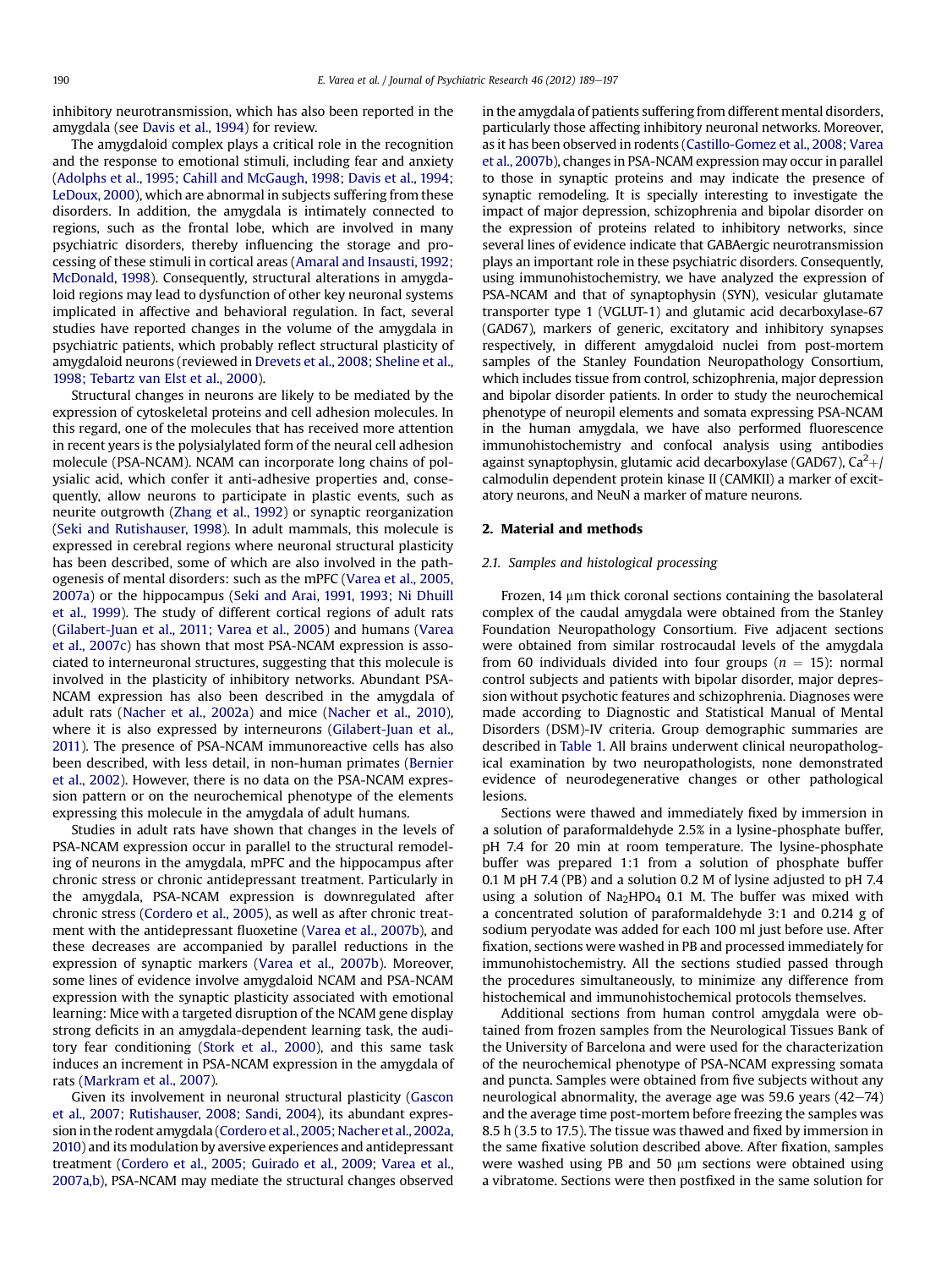inhibitory neurotransmission, which has also been reported in the amygdala (see Davis et al., 1994) for review.

The amygdaloid complex plays a critical role in the recognition and the response to emotional stimuli, including fear and anxiety (Adolphs et al., 1995; Cahill and McGaugh, 1998; Davis et al., 1994; LeDoux, 2000), which are abnormal in subjects suffering from these disorders. In addition, the amygdala is intimately connected to regions, such as the frontal lobe, which are involved in many psychiatric disorders, thereby influencing the storage and processing of these stimuli in cortical areas (Amaral and Insausti, 1992; McDonald, 1998). Consequently, structural alterations in amygdaloid regions may lead to dysfunction of other key neuronal systems implicated in affective and behavioral regulation. In fact, several studies have reported changes in the volume of the amygdala in psychiatric patients, which probably reflect structural plasticity of amygdaloid neurons (reviewed in Drevets et al., 2008; Sheline et al., 1998; Tebartz van Elst et al., 2000).

Structural changes in neurons are likely to be mediated by the expression of cytoskeletal proteins and cell adhesion molecules. In this regard, one of the molecules that has received more attention in recent years is the polysialylated form of the neural cell adhesion molecule (PSA-NCAM). NCAM can incorporate long chains of polysialic acid, which confer it anti-adhesive properties and, consequently, allow neurons to participate in plastic events, such as neurite outgrowth (Zhang et al., 1992) or synaptic reorganization (Seki and Rutishauser, 1998). In adult mammals, this molecule is expressed in cerebral regions where neuronal structural plasticity has been described, some of which are also involved in the pathogenesis of mental disorders: such as the mPFC (Varea et al., 2005, 2007a) or the hippocampus (Seki and Arai, 1991, 1993; Ni Dhuill et al., 1999). The study of different cortical regions of adult rats (Gilabert-Juan et al., 2011; Varea et al., 2005) and humans (Varea et al., 2007c) has shown that most PSA-NCAM expression is associated to interneuronal structures, suggesting that this molecule is involved in the plasticity of inhibitory networks. Abundant PSA-NCAM expression has also been described in the amygdala of adult rats (Nacher et al., 2002a) and mice (Nacher et al., 2010), where it is also expressed by interneurons (Gilabert-Juan et al., 2011). The presence of PSA-NCAM immunoreactive cells has also been described, with less detail, in non-human primates (Bernier et al., 2002). However, there is no data on the PSA-NCAM expression pattern or on the neurochemical phenotype of the elements expressing this molecule in the amygdala of adult humans.

Studies in adult rats have shown that changes in the levels of PSA-NCAM expression occur in parallel to the structural remodeling of neurons in the amygdala, mPFC and the hippocampus after chronic stress or chronic antidepressant treatment. Particularly in the amygdala, PSA-NCAM expression is downregulated after chronic stress (Cordero et al., 2005), as well as after chronic treatment with the antidepressant fluoxetine (Varea et al., 2007b), and these decreases are accompanied by parallel reductions in the expression of synaptic markers (Varea et al., 2007b). Moreover, some lines of evidence involve amygdaloid NCAM and PSA-NCAM expression with the synaptic plasticity associated with emotional learning: Mice with a targeted disruption of the NCAM gene display strong deficits in an amygdala-dependent learning task, the auditory fear conditioning (Stork et al., 2000), and this same task induces an increment in PSA-NCAM expression in the amygdala of rats (Markram et al., 2007).

Given its involvement in neuronal structural plasticity (Gascon et al., 2007; Rutishauser, 2008; Sandi, 2004), its abundant expression in the rodent amygdala (Cordero et al., 2005; Nacher et al., 2002a, 2010) and its modulation by aversive experiences and antidepressant treatment (Cordero et al., 2005; Guirado et al., 2009; Varea et al., 2007a,b), PSA-NCAM may mediate the structural changes observed in the amygdala of patients suffering from different mental disorders, particularly those affecting inhibitory neuronal networks. Moreover, as it has been observed in rodents (Castillo-Gomez et al., 2008; Varea et al., 2007b), changes in PSA-NCAM expression may occur in parallel to those in synaptic proteins and may indicate the presence of synaptic remodeling. It is specially interesting to investigate the impact of major depression, schizophrenia and bipolar disorder on the expression of proteins related to inhibitory networks, since several lines of evidence indicate that GABAergic neurotransmission plays an important role in these psychiatric disorders. Consequently, using immunohistochemistry, we have analyzed the expression of PSA-NCAM and that of synaptophysin (SYN), vesicular glutamate transporter type 1 (VGLUT-1) and glutamic acid decarboxylase-67 (GAD67), markers of generic, excitatory and inhibitory synapses respectively, in different amygdaloid nuclei from post-mortem samples of the Stanley Foundation Neuropathology Consortium, which includes tissue from control, schizophrenia, major depression and bipolar disorder patients. In order to study the neurochemical phenotype of neuropil elements and somata expressing PSA-NCAM in the human amygdala, we have also performed fluorescence immunohistochemistry and confocal analysis using antibodies against synaptophysin, glutamic acid decarboxylase (GAD67),  $Ca^{2}$ +/ calmodulin dependent protein kinase II (CAMKII) a marker of excitatory neurons, and NeuN a marker of mature neurons.

#### 2. Material and methods

#### 2.1. Samples and histological processing

Frozen,  $14 \mu m$  thick coronal sections containing the basolateral complex of the caudal amygdala were obtained from the Stanley Foundation Neuropathology Consortium. Five adjacent sections were obtained from similar rostrocaudal levels of the amygdala from 60 individuals divided into four groups ( $n = 15$ ): normal control subjects and patients with bipolar disorder, major depression without psychotic features and schizophrenia. Diagnoses were made according to Diagnostic and Statistical Manual of Mental Disorders (DSM)-IV criteria. Group demographic summaries are described in Table 1. All brains underwent clinical neuropathological examination by two neuropathologists, none demonstrated evidence of neurodegenerative changes or other pathological lesions.

Sections were thawed and immediately fixed by immersion in a solution of paraformaldehyde 2.5% in a lysine-phosphate buffer, pH 7.4 for 20 min at room temperature. The lysine-phosphate buffer was prepared 1:1 from a solution of phosphate buffer 0.1 M pH 7.4 (PB) and a solution 0.2 M of lysine adjusted to pH 7.4 using a solution of  $Na<sub>2</sub>HPO<sub>4</sub>$  0.1 M. The buffer was mixed with a concentrated solution of paraformaldehyde 3:1 and 0.214 g of sodium peryodate was added for each 100 ml just before use. After fixation, sections were washed in PB and processed immediately for immunohistochemistry. All the sections studied passed through the procedures simultaneously, to minimize any difference from histochemical and immunohistochemical protocols themselves.

Additional sections from human control amygdala were obtained from frozen samples from the Neurological Tissues Bank of the University of Barcelona and were used for the characterization of the neurochemical phenotype of PSA-NCAM expressing somata and puncta. Samples were obtained from five subjects without any neurological abnormality, the average age was 59.6 years  $(42-74)$ and the average time post-mortem before freezing the samples was 8.5 h (3.5 to 17.5). The tissue was thawed and fixed by immersion in the same fixative solution described above. After fixation, samples were washed using PB and 50  $\mu$ m sections were obtained using a vibratome. Sections were then postfixed in the same solution for